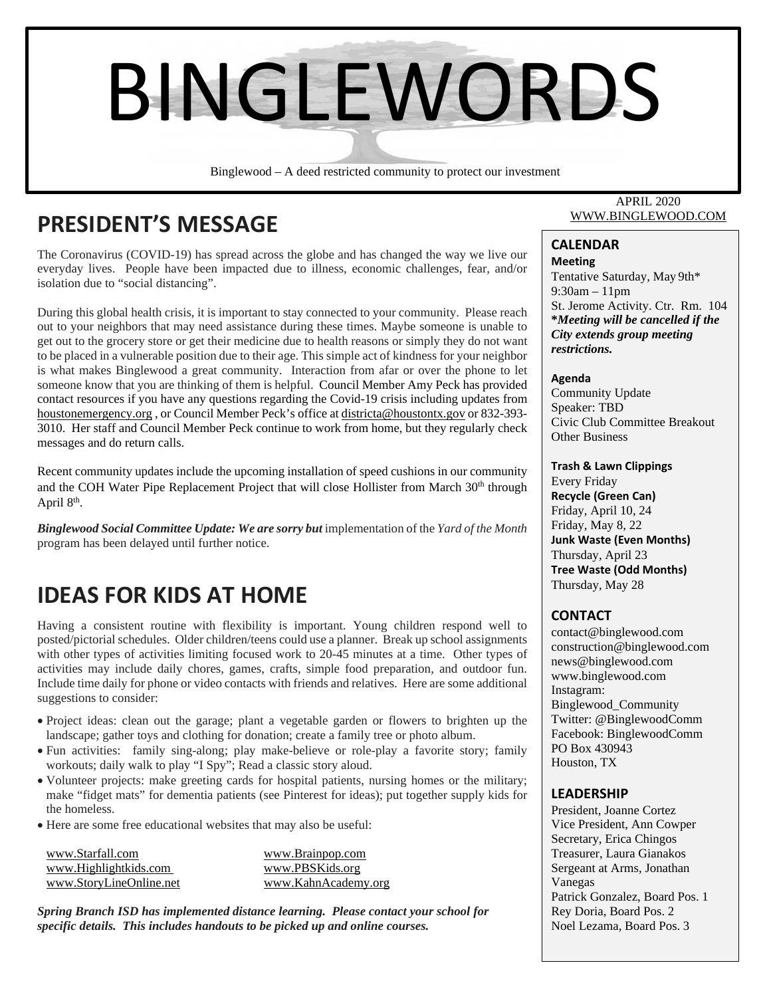

Binglewood – A deed restricted community to protect our investment

# **PRESIDENT'S MESSAGE**

The Coronavirus (COVID-19) has spread across the globe and has changed the way we live our everyday lives. People have been impacted due to illness, economic challenges, fear, and/or isolation due to "social distancing".

During this global health crisis, it is important to stay connected to your community. Please reach out to your neighbors that may need assistance during these times. Maybe someone is unable to get out to the grocery store or get their medicine due to health reasons or simply they do not want to be placed in a vulnerable position due to their age. This simple act of kindness for your neighbor is what makes Binglewood a great community. Interaction from afar or over the phone to let someone know that you are thinking of them is helpful. Council Member Amy Peck has provided contact resources if you have any questions regarding the Covid-19 crisis including updates from houstonemergency.org , or Council Member Peck's office at districta@houstontx.gov or 832-393- 3010. Her staff and Council Member Peck continue to work from home, but they regularly check messages and do return calls.

Recent community updates include the upcoming installation of speed cushions in our community and the COH Water Pipe Replacement Project that will close Hollister from March 30<sup>th</sup> through April 8th.

*Binglewood Social Committee Update: We are sorry but* implementation of the *Yard of the Month* program has been delayed until further notice.

## **IDEAS FOR KIDS AT HOME**

Having a consistent routine with flexibility is important. Young children respond well to posted/pictorial schedules. Older children/teens could use a planner. Break up school assignments with other types of activities limiting focused work to 20-45 minutes at a time. Other types of activities may include daily chores, games, crafts, simple food preparation, and outdoor fun. Include time daily for phone or video contacts with friends and relatives. Here are some additional suggestions to consider:

- Project ideas: clean out the garage; plant a vegetable garden or flowers to brighten up the landscape; gather toys and clothing for donation; create a family tree or photo album.
- Fun activities: family sing-along; play make-believe or role-play a favorite story; family workouts; daily walk to play "I Spy"; Read a classic story aloud.
- Volunteer projects: make greeting cards for hospital patients, nursing homes or the military; make "fidget mats" for dementia patients (see Pinterest for ideas); put together supply kids for the homeless.
- Here are some free educational websites that may also be useful:

| www.Starfall.com        | www.Brainpop.com    |
|-------------------------|---------------------|
| www.Highlightkids.com   | www.PBSKids.org     |
| www.StoryLineOnline.net | www.KahnAcademy.org |

*Spring Branch ISD has implemented distance learning. Please contact your school for specific details. This includes handouts to be picked up and online courses.* 

#### APRIL 2020 WWW.BINGLEWOOD.COM

## **CALENDAR**

**Meeting** Tentative Saturday, May 9th\* 9:30am – 11pm St. Jerome Activity. Ctr. Rm. 104 **\****Meeting will be cancelled if the City extends group meeting restrictions.*

#### **Agenda**

Community Update Speaker: TBD Civic Club Committee Breakout Other Business

#### **Trash & Lawn Clippings**

Every Friday **Recycle (Green Can)** Friday, April 10, 24 Friday, May 8, 22 **Junk Waste (Even Months)** Thursday, April 23 **Tree Waste (Odd Months)** Thursday, May 28

## **CONTACT**

contact@binglewood.com construction@binglewood.com news@binglewood.com www.binglewood.com Instagram: Binglewood\_Community Twitter: @BinglewoodComm Facebook: BinglewoodComm PO Box 430943 Houston, TX

#### **LEADERSHIP**

 Rey Doria, Board Pos. 2 President, Joanne Cortez Vice President, Ann Cowper Secretary, Erica Chingos Treasurer, Laura Gianakos Sergeant at Arms, Jonathan Vanegas Patrick Gonzalez, Board Pos. 1 Noel Lezama, Board Pos. 3